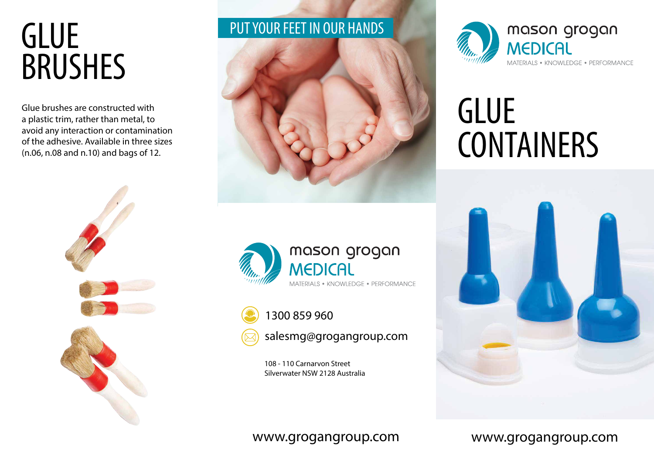## **GLUE** BRUSHES

Glue brushes are constructed with a plastic trim, rather than metal, to avoid any interaction or contamination of the adhesive. Available in three sizes (n.06, n.08 and n.10) and bags of 12.



## PUT YOUR FEET IN OUR HANDS







salesmg@grogangroup.com

108 - 110 Carnarvon Street Silverwater NSW 2128 Australia



# **GLUE** CONTAINERS



### www.grogangroup.com

### www.grogangroup.com